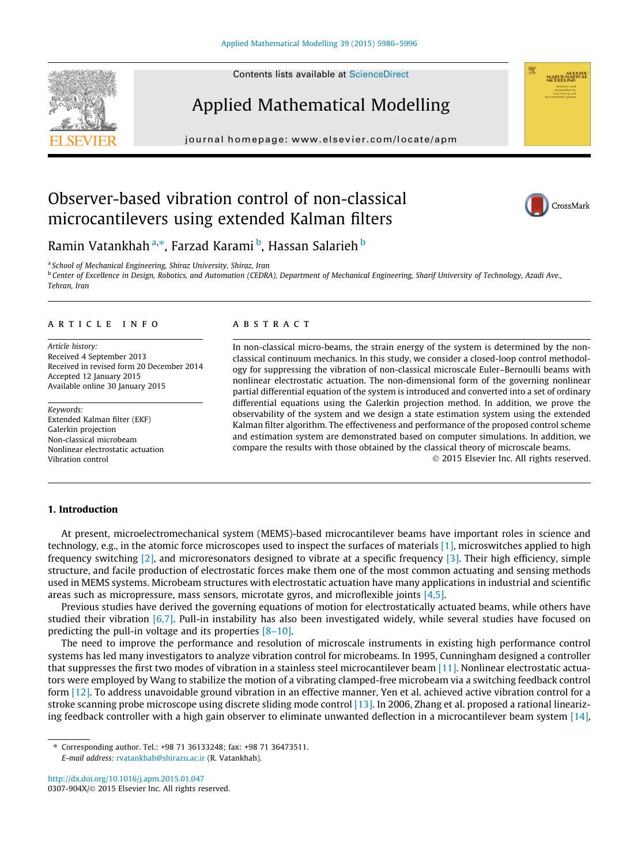Contents lists available at [ScienceDirect](http://www.sciencedirect.com/science/journal/0307904X)

# Applied Mathematical Modelling

journal homepage: [www.elsevier.com/locate/apm](http://www.elsevier.com/locate/apm)

## Observer-based vibration control of non-classical microcantilevers using extended Kalman filters



Ramin Vatankhah <sup>a,\*</sup>, Farzad Karami <sup>b</sup>, Hassan Salarieh <sup>b</sup>

<sup>a</sup> School of Mechanical Engineering, Shiraz University, Shiraz, Iran

**b Center of Excellence in Design, Robotics, and Automation (CEDRA), Department of Mechanical Engineering, Sharif University of Technology, Azadi Ave.,** Tehran, Iran

#### article info

Article history: Received 4 September 2013 Received in revised form 20 December 2014 Accepted 12 January 2015 Available online 30 January 2015

Keywords: Extended Kalman filter (EKF) Galerkin projection Non-classical microbeam Nonlinear electrostatic actuation Vibration control

### **ABSTRACT**

In non-classical micro-beams, the strain energy of the system is determined by the nonclassical continuum mechanics. In this study, we consider a closed-loop control methodology for suppressing the vibration of non-classical microscale Euler–Bernoulli beams with nonlinear electrostatic actuation. The non-dimensional form of the governing nonlinear partial differential equation of the system is introduced and converted into a set of ordinary differential equations using the Galerkin projection method. In addition, we prove the observability of the system and we design a state estimation system using the extended Kalman filter algorithm. The effectiveness and performance of the proposed control scheme and estimation system are demonstrated based on computer simulations. In addition, we compare the results with those obtained by the classical theory of microscale beams.

- 2015 Elsevier Inc. All rights reserved.

### 1. Introduction

At present, microelectromechanical system (MEMS)-based microcantilever beams have important roles in science and technology, e.g., in the atomic force microscopes used to inspect the surfaces of materials [\[1\],](#page--1-0) microswitches applied to high frequency switching [\[2\]](#page--1-0), and microresonators designed to vibrate at a specific frequency [\[3\]](#page--1-0). Their high efficiency, simple structure, and facile production of electrostatic forces make them one of the most common actuating and sensing methods used in MEMS systems. Microbeam structures with electrostatic actuation have many applications in industrial and scientific areas such as micropressure, mass sensors, microtate gyros, and microflexible joints [\[4,5\].](#page--1-0)

Previous studies have derived the governing equations of motion for electrostatically actuated beams, while others have studied their vibration  $[6,7]$ . Pull-in instability has also been investigated widely, while several studies have focused on predicting the pull-in voltage and its properties [\[8–10\]](#page--1-0).

The need to improve the performance and resolution of microscale instruments in existing high performance control systems has led many investigators to analyze vibration control for microbeams. In 1995, Cunningham designed a controller that suppresses the first two modes of vibration in a stainless steel microcantilever beam [\[11\]](#page--1-0). Nonlinear electrostatic actuators were employed by Wang to stabilize the motion of a vibrating clamped-free microbeam via a switching feedback control form [\[12\]](#page--1-0). To address unavoidable ground vibration in an effective manner, Yen et al. achieved active vibration control for a stroke scanning probe microscope using discrete sliding mode control [\[13\]](#page--1-0). In 2006, Zhang et al. proposed a rational linearizing feedback controller with a high gain observer to eliminate unwanted deflection in a microcantilever beam system [\[14\],](#page--1-0)

⇑ Corresponding author. Tel.: +98 71 36133248; fax: +98 71 36473511. E-mail address: [rvatankhah@shirazu.ac.ir](mailto:rvatankhah@shirazu.ac.ir) (R. Vatankhah).

<http://dx.doi.org/10.1016/j.apm.2015.01.047> 0307-904X/© 2015 Elsevier Inc. All rights reserved.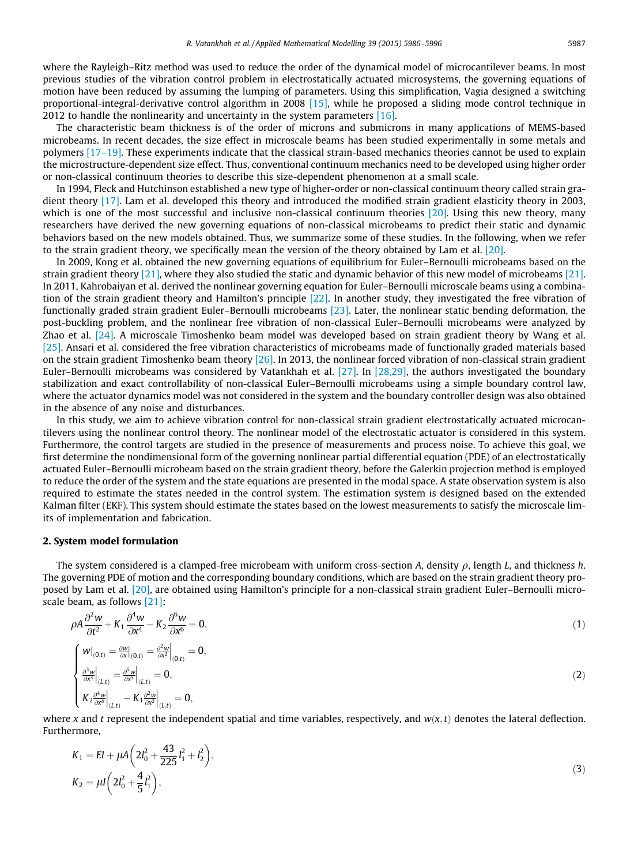where the Rayleigh–Ritz method was used to reduce the order of the dynamical model of microcantilever beams. In most previous studies of the vibration control problem in electrostatically actuated microsystems, the governing equations of motion have been reduced by assuming the lumping of parameters. Using this simplification, Vagia designed a switching proportional-integral-derivative control algorithm in 2008 [\[15\]](#page--1-0), while he proposed a sliding mode control technique in 2012 to handle the nonlinearity and uncertainty in the system parameters [\[16\]](#page--1-0).

The characteristic beam thickness is of the order of microns and submicrons in many applications of MEMS-based microbeams. In recent decades, the size effect in microscale beams has been studied experimentally in some metals and polymers [\[17–19\]](#page--1-0). These experiments indicate that the classical strain-based mechanics theories cannot be used to explain the microstructure-dependent size effect. Thus, conventional continuum mechanics need to be developed using higher order or non-classical continuum theories to describe this size-dependent phenomenon at a small scale.

In 1994, Fleck and Hutchinson established a new type of higher-order or non-classical continuum theory called strain gradient theory [\[17\].](#page--1-0) Lam et al. developed this theory and introduced the modified strain gradient elasticity theory in 2003, which is one of the most successful and inclusive non-classical continuum theories [\[20\].](#page--1-0) Using this new theory, many researchers have derived the new governing equations of non-classical microbeams to predict their static and dynamic behaviors based on the new models obtained. Thus, we summarize some of these studies. In the following, when we refer to the strain gradient theory, we specifically mean the version of the theory obtained by Lam et al. [\[20\]](#page--1-0).

In 2009, Kong et al. obtained the new governing equations of equilibrium for Euler–Bernoulli microbeams based on the strain gradient theory [\[21\]](#page--1-0), where they also studied the static and dynamic behavior of this new model of microbeams [\[21\]](#page--1-0). In 2011, Kahrobaiyan et al. derived the nonlinear governing equation for Euler–Bernoulli microscale beams using a combination of the strain gradient theory and Hamilton's principle [\[22\].](#page--1-0) In another study, they investigated the free vibration of functionally graded strain gradient Euler–Bernoulli microbeams [\[23\].](#page--1-0) Later, the nonlinear static bending deformation, the post-buckling problem, and the nonlinear free vibration of non-classical Euler–Bernoulli microbeams were analyzed by Zhao et al. [\[24\]](#page--1-0). A microscale Timoshenko beam model was developed based on strain gradient theory by Wang et al. [\[25\]](#page--1-0). Ansari et al. considered the free vibration characteristics of microbeams made of functionally graded materials based on the strain gradient Timoshenko beam theory [\[26\].](#page--1-0) In 2013, the nonlinear forced vibration of non-classical strain gradient Euler–Bernoulli microbeams was considered by Vatankhah et al. [\[27\].](#page--1-0) In [\[28,29\],](#page--1-0) the authors investigated the boundary stabilization and exact controllability of non-classical Euler–Bernoulli microbeams using a simple boundary control law, where the actuator dynamics model was not considered in the system and the boundary controller design was also obtained in the absence of any noise and disturbances.

In this study, we aim to achieve vibration control for non-classical strain gradient electrostatically actuated microcantilevers using the nonlinear control theory. The nonlinear model of the electrostatic actuator is considered in this system. Furthermore, the control targets are studied in the presence of measurements and process noise. To achieve this goal, we first determine the nondimensional form of the governing nonlinear partial differential equation (PDE) of an electrostatically actuated Euler–Bernoulli microbeam based on the strain gradient theory, before the Galerkin projection method is employed to reduce the order of the system and the state equations are presented in the modal space. A state observation system is also required to estimate the states needed in the control system. The estimation system is designed based on the extended Kalman filter (EKF). This system should estimate the states based on the lowest measurements to satisfy the microscale limits of implementation and fabrication.

#### 2. System model formulation

The system considered is a clamped-free microbeam with uniform cross-section A, density  $\rho$ , length L, and thickness h. The governing PDE of motion and the corresponding boundary conditions, which are based on the strain gradient theory proposed by Lam et al. [\[20\],](#page--1-0) are obtained using Hamilton's principle for a non-classical strain gradient Euler–Bernoulli microscale beam, as follows [\[21\]:](#page--1-0)

$$
\rho A \frac{\partial^2 w}{\partial t^2} + K_1 \frac{\partial^4 w}{\partial x^4} - K_2 \frac{\partial^6 w}{\partial x^6} = 0,
$$
\n
$$
\begin{cases}\nW|_{(0,t)} = \frac{\partial w}{\partial x}|_{(0,t)} = \frac{\partial^2 w}{\partial x^2}|_{(0,t)} = 0, \\
\frac{\partial^3 w}{\partial x^3}|_{(L,t)} = \frac{\partial^5 w}{\partial x^5}|_{(L,t)} = 0, \\
K_2 \frac{\partial^4 w}{\partial x^4}|_{(L,t)} - K_1 \frac{\partial^2 w}{\partial x^2}|_{(L,t)} = 0,\n\end{cases}
$$
\n(1)

where x and t represent the independent spatial and time variables, respectively, and  $w(x, t)$  denotes the lateral deflection. Furthermore,

$$
K_1 = EI + \mu A \left( 2l_0^2 + \frac{43}{225}l_1^2 + l_2^2 \right),
$$
  
\n
$$
K_2 = \mu I \left( 2l_0^2 + \frac{4}{5}l_1^2 \right),
$$
\n(3)